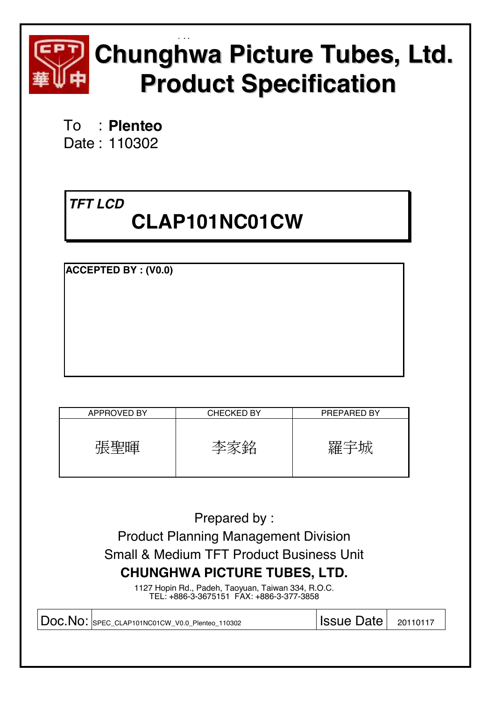

# EQ **Chunghwa Picture Tubes, Ltd. Product Specification**

To : **Plenteo**  Date : 110302

# *TFT LCD*

# **CLAP101NC01CW**

**ACCEPTED BY : (V0.0)**

| <b>APPROVED BY</b> | <b>CHECKED BY</b> | PREPARED BY |
|--------------------|-------------------|-------------|
|                    |                   |             |

Prepared by : Product Planning Management Division Small & Medium TFT Product Business Unit **CHUNGHWA PICTURE TUBES, LTD.** 

1127 Hopin Rd., Padeh, Taoyuan, Taiwan 334, R.O.C. TEL: +886-3-3675151 FAX: +886-3-377-3858

| DOC.NO: SPEC_CLAP101NC01CW_V0.0_Plenteo_110302<br>$ $ Issue Date $ $ 20110117 |
|-------------------------------------------------------------------------------|
|-------------------------------------------------------------------------------|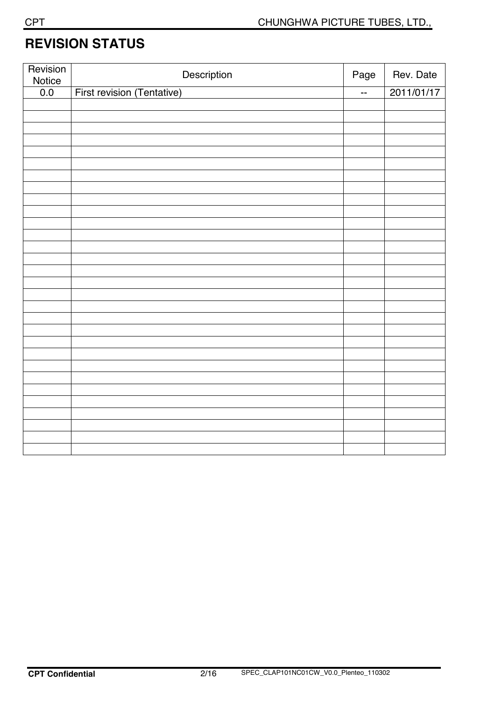# **REVISION STATUS**

| Revision<br>Notice | Description                | Page                     | Rev. Date  |
|--------------------|----------------------------|--------------------------|------------|
| 0.0                | First revision (Tentative) | $\overline{\phantom{a}}$ | 2011/01/17 |
|                    |                            |                          |            |
|                    |                            |                          |            |
|                    |                            |                          |            |
|                    |                            |                          |            |
|                    |                            |                          |            |
|                    |                            |                          |            |
|                    |                            |                          |            |
|                    |                            |                          |            |
|                    |                            |                          |            |
|                    |                            |                          |            |
|                    |                            |                          |            |
|                    |                            |                          |            |
|                    |                            |                          |            |
|                    |                            |                          |            |
|                    |                            |                          |            |
|                    |                            |                          |            |
|                    |                            |                          |            |
|                    |                            |                          |            |
|                    |                            |                          |            |
|                    |                            |                          |            |
|                    |                            |                          |            |
|                    |                            |                          |            |
|                    |                            |                          |            |
|                    |                            |                          |            |
|                    |                            |                          |            |
|                    |                            |                          |            |
|                    |                            |                          |            |
|                    |                            |                          |            |
|                    |                            |                          |            |
|                    |                            |                          |            |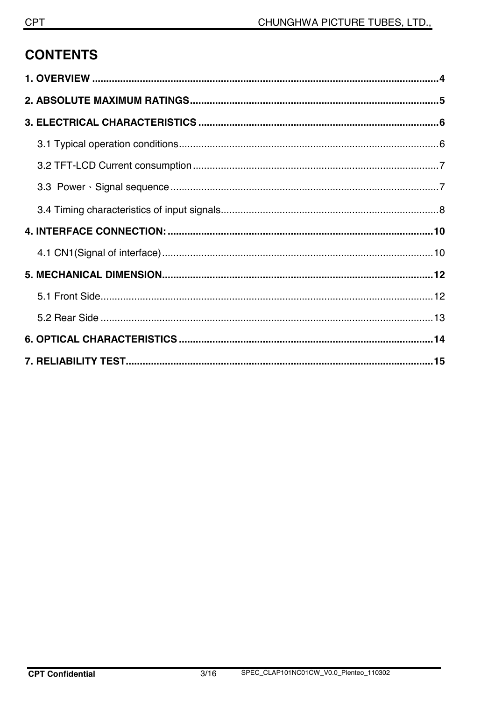# **CONTENTS**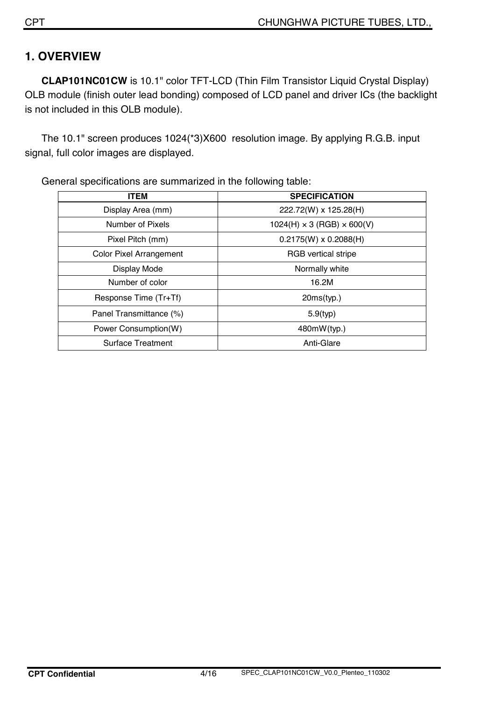# **1. OVERVIEW**

**CLAP101NC01CW** is 10.1" color TFT-LCD (Thin Film Transistor Liquid Crystal Display) OLB module (finish outer lead bonding) composed of LCD panel and driver ICs (the backlight is not included in this OLB module).

The 10.1" screen produces 1024(\*3)X600 resolution image. By applying R.G.B. input signal, full color images are displayed.

| <b>ITEM</b>                    | <b>SPECIFICATION</b>                   |
|--------------------------------|----------------------------------------|
| Display Area (mm)              | 222.72(W) x 125.28(H)                  |
| Number of Pixels               | $1024(H) \times 3 (RGB) \times 600(V)$ |
| Pixel Pitch (mm)               | $0.2175(W) \times 0.2088(H)$           |
| <b>Color Pixel Arrangement</b> | <b>RGB</b> vertical stripe             |
| Display Mode                   | Normally white                         |
| Number of color                | 16.2M                                  |
| Response Time (Tr+Tf)          | 20ms(typ.)                             |
| Panel Transmittance (%)        | $5.9$ (typ)                            |
| Power Consumption(W)           | 480mW(typ.)                            |
| <b>Surface Treatment</b>       | Anti-Glare                             |

General specifications are summarized in the following table: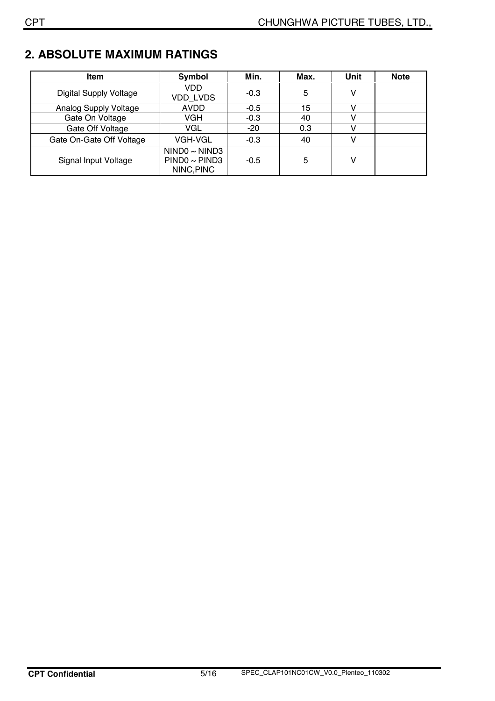# **2. ABSOLUTE MAXIMUM RATINGS**

| <b>Item</b>                   | Symbol                                            | Min.   | Max. | Unit | <b>Note</b> |
|-------------------------------|---------------------------------------------------|--------|------|------|-------------|
| <b>Digital Supply Voltage</b> | VDD<br><b>VDD LVDS</b>                            | $-0.3$ | 5    |      |             |
| Analog Supply Voltage         | AVDD                                              | $-0.5$ | 15   |      |             |
| Gate On Voltage               | VGH                                               | $-0.3$ | 40   |      |             |
| Gate Off Voltage              | VGL                                               | $-20$  | 0.3  |      |             |
| Gate On-Gate Off Voltage      | <b>VGH-VGL</b>                                    | $-0.3$ | 40   |      |             |
| Signal Input Voltage          | NINDO ~ NIND3<br>$PIND0 \sim PIND3$<br>NINC, PINC | $-0.5$ | 5    |      |             |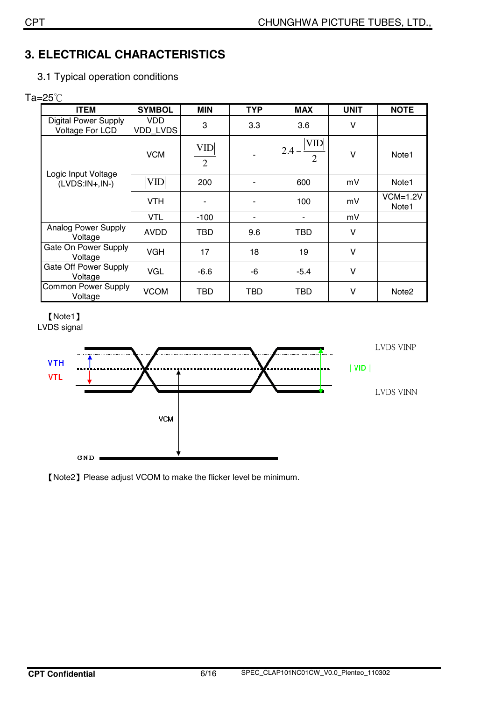# **3. ELECTRICAL CHARACTERISTICS**

3.1 Typical operation conditions

### Ta= $25^{\circ}$ C

| <b>ITEM</b>                                    | <b>SYMBOL</b>   | <b>MIN</b>                   | <b>TYP</b> | <b>MAX</b>                          | <b>UNIT</b> | <b>NOTE</b>                     |
|------------------------------------------------|-----------------|------------------------------|------------|-------------------------------------|-------------|---------------------------------|
| <b>Digital Power Supply</b><br>Voltage For LCD | VDD<br>VDD_LVDS | 3                            | 3.3        | 3.6                                 | V           |                                 |
|                                                | <b>VCM</b>      | <b>VID</b><br>$\overline{2}$ |            | <b>VID</b><br>2.4<br>$\overline{2}$ | V           | Note1                           |
| Logic Input Voltage<br>$(LVDS:IN+,IN-)$        | <b>VID</b>      | 200                          |            | 600                                 | mV          | Note <sub>1</sub>               |
|                                                | <b>VTH</b>      | ۰                            |            | 100                                 | mV          | $VCM=1.2V$<br>Note <sub>1</sub> |
|                                                | <b>VTL</b>      | $-100$                       | ۰          |                                     | mV          |                                 |
| Analog Power Supply<br>Voltage                 | <b>AVDD</b>     | TBD                          | 9.6        | TBD                                 | V           |                                 |
| Gate On Power Supply<br>Voltage                | <b>VGH</b>      | 17                           | 18         | 19                                  | V           |                                 |
| Gate Off Power Supply<br>Voltage               | <b>VGL</b>      | $-6.6$                       | -6         | $-5.4$                              | V           |                                 |
| Common Power Supply<br>Voltage                 | <b>VCOM</b>     | TBD                          | TBD        | TBD                                 | V           | Note2                           |

[Note1] LVDS signal



<sup>[</sup>Note2] Please adjust VCOM to make the flicker level be minimum.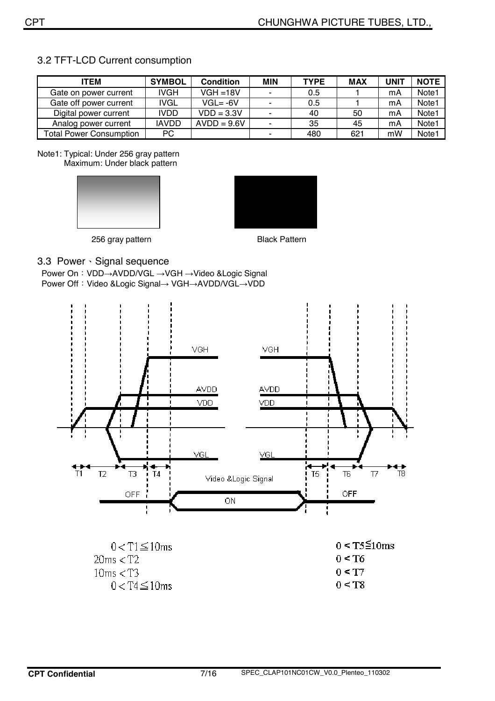| <b>ITEM</b>                    | <b>SYMBOL</b> | <b>Condition</b> | <b>MIN</b>     | <b>TYPE</b> | <b>MAX</b> | <b>UNIT</b> | <b>NOTE</b>       |
|--------------------------------|---------------|------------------|----------------|-------------|------------|-------------|-------------------|
| Gate on power current          | IVGH          | $VGH = 18V$      |                | 0.5         |            | mA          | Note <sub>1</sub> |
| Gate off power current         | IVGL          | $VGL = -6V$      | $\blacksquare$ | 0.5         |            | mA          | Note <sub>1</sub> |
| Digital power current          | <b>IVDD</b>   | $VDD = 3.3V$     |                | 40          | 50         | mA          | Note1             |
| Analog power current           | <b>IAVDD</b>  | $AVDD = 9.6V$    |                | 35          | 45         | mA          | Note1             |
| <b>Total Power Consumption</b> | PC.           |                  |                | 480         | 621        | mW          | Note <sub>1</sub> |

#### 3.2 TFT-LCD Current consumption

Note1: Typical: Under 256 gray pattern Maximum: Under black pattern





256 gray pattern **Black Pattern** 

#### 3.3 Power Signal sequence

Power On: VDD→AVDD/VGL →VGH →Video &Logic Signal Power Off: Video &Logic Signal→ VGH→AVDD/VGL→VDD



 $20ms < T2$  $10ms < T3$  $0 < T4 \leq 10$ ms

 $0 < T6$  $0 < T7$  $0 < T8$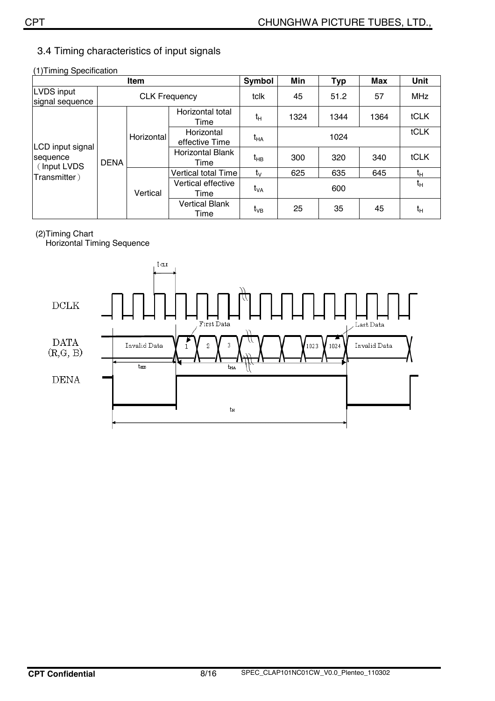#### 3.4 Timing characteristics of input signals

| (1) Timing Specification |  |
|--------------------------|--|
|                          |  |

|                               | Symbol      | Min                          | <b>Typ</b>                      | Max             | <b>Unit</b> |      |             |             |
|-------------------------------|-------------|------------------------------|---------------------------------|-----------------|-------------|------|-------------|-------------|
| LVDS input<br>signal sequence |             | <b>CLK Frequency</b>         |                                 |                 | 45          | 51.2 | 57          | <b>MHz</b>  |
|                               |             |                              | Horizontal total<br>Time        | $t_H$           | 1324        | 1344 | 1364        | <b>tCLK</b> |
| LCD input signal              | Horizontal  | Horizontal<br>effective Time | t <sub>на</sub>                 | 1024            |             |      | <b>tCLK</b> |             |
| sequence<br>(Input LVDS       | <b>DENA</b> |                              | <b>Horizontal Blank</b><br>Time | t <sub>нв</sub> | 300         | 320  | 340         | tCLK        |
| Transmitter)                  |             |                              | Vertical total Time             | $t_{\rm V}$     | 625         | 635  | 645         | $t_H$       |
|                               | Vertical    | Vertical effective<br>Time   | t <sub>VA</sub>                 | 600             |             |      | $t_H$       |             |
|                               |             |                              | <b>Vertical Blank</b><br>Time   | t <sub>vB</sub> | 25          | 35   | 45          | tн          |

#### (2)Timing Chart

Horizontal Timing Sequence

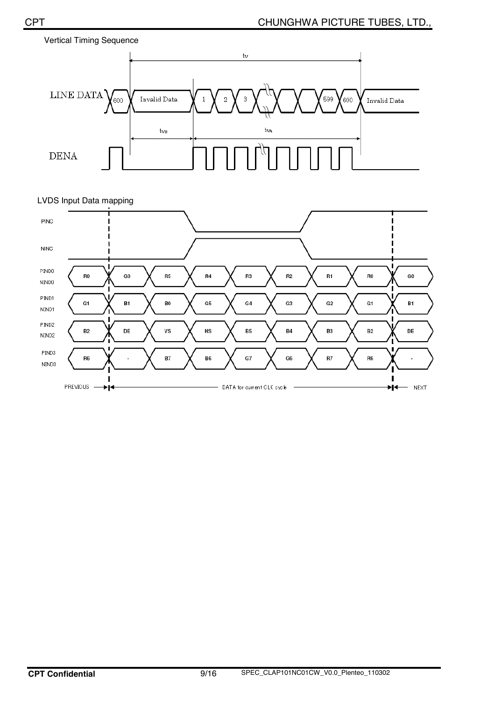



#### LVDS Input Data mapping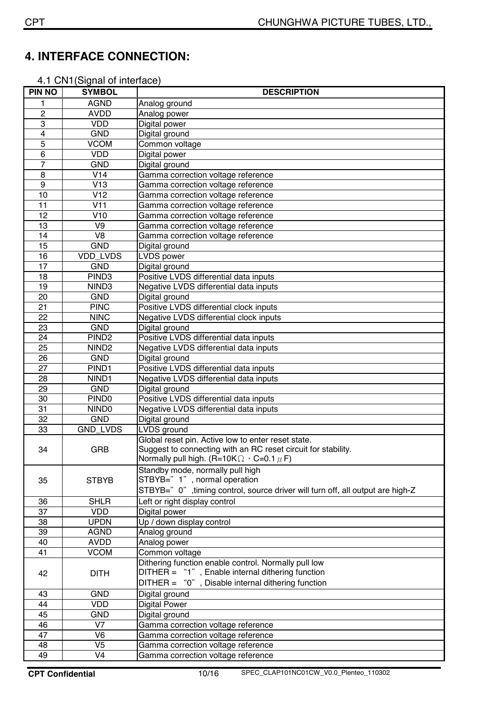# **4. INTERFACE CONNECTION:**

4.1 CN1(Signal of interface)

| <b>PIN NO</b>  | <b>SYMBOL</b>            | <b>DESCRIPTION</b>                                                                                                                                                          |
|----------------|--------------------------|-----------------------------------------------------------------------------------------------------------------------------------------------------------------------------|
| 1              | <b>AGND</b>              | Analog ground                                                                                                                                                               |
| $\overline{c}$ | <b>AVDD</b>              | Analog power                                                                                                                                                                |
| 3              | <b>VDD</b>               | Digital power                                                                                                                                                               |
| 4              | <b>GND</b>               | Digital ground                                                                                                                                                              |
| 5              | <b>VCOM</b>              | Common voltage                                                                                                                                                              |
| 6              | <b>VDD</b>               | Digital power                                                                                                                                                               |
| $\overline{7}$ | <b>GND</b>               | Digital ground                                                                                                                                                              |
| 8              | V14                      | Gamma correction voltage reference                                                                                                                                          |
| 9              | V13                      | Gamma correction voltage reference                                                                                                                                          |
| 10             | V12                      | Gamma correction voltage reference                                                                                                                                          |
| 11             | V11                      | Gamma correction voltage reference                                                                                                                                          |
| 12             | V10                      | Gamma correction voltage reference                                                                                                                                          |
| 13             | V <sub>9</sub>           | Gamma correction voltage reference                                                                                                                                          |
| 14             | V <sub>8</sub>           | Gamma correction voltage reference                                                                                                                                          |
| 15             | <b>GND</b>               | Digital ground                                                                                                                                                              |
| 16             | VDD_LVDS                 | <b>LVDS</b> power                                                                                                                                                           |
| 17             | <b>GND</b>               | Digital ground                                                                                                                                                              |
| 18             | PIND <sub>3</sub>        | Positive LVDS differential data inputs                                                                                                                                      |
| 19             | NIND <sub>3</sub>        | Negative LVDS differential data inputs                                                                                                                                      |
| 20             | <b>GND</b>               | Digital ground                                                                                                                                                              |
| 21             | <b>PINC</b>              | Positive LVDS differential clock inputs                                                                                                                                     |
| 22             | <b>NINC</b>              | Negative LVDS differential clock inputs                                                                                                                                     |
| 23             | <b>GND</b>               | Digital ground                                                                                                                                                              |
| 24             | PIND <sub>2</sub>        | Positive LVDS differential data inputs                                                                                                                                      |
| 25             | NIND <sub>2</sub>        | Negative LVDS differential data inputs                                                                                                                                      |
| 26             | <b>GND</b>               | Digital ground                                                                                                                                                              |
| 27             | PIND <sub>1</sub>        | Positive LVDS differential data inputs                                                                                                                                      |
| 28             | NIND <sub>1</sub>        | Negative LVDS differential data inputs                                                                                                                                      |
| 29             | <b>GND</b>               | Digital ground                                                                                                                                                              |
| 30             | PIND <sub>0</sub>        | Positive LVDS differential data inputs                                                                                                                                      |
| 31             | NIND <sub>0</sub>        | Negative LVDS differential data inputs                                                                                                                                      |
| 32             | <b>GND</b>               | Digital ground                                                                                                                                                              |
| 33             | GND_LVDS                 | LVDS ground                                                                                                                                                                 |
| 34             | <b>GRB</b>               | Global reset pin. Active low to enter reset state.<br>Suggest to connecting with an RC reset circuit for stability.<br>Normally pull high. (R=10K $\Omega$ , C=0.1 $\mu$ F) |
| 35             | <b>STBYB</b>             | Standby mode, normally pull high<br>STBYB=" 1", normal operation<br>STBYB=" 0", timing control, source driver will turn off, all output are high-Z                          |
| 36             | <b>SHLR</b>              | Left or right display control                                                                                                                                               |
| 37             | <b>VDD</b>               | Digital power                                                                                                                                                               |
| 38             | <b>UPDN</b>              | Up / down display control                                                                                                                                                   |
| 39             | <b>AGND</b>              | Analog ground                                                                                                                                                               |
| 40             | <b>AVDD</b>              | Analog power                                                                                                                                                                |
| 41             | <b>VCOM</b>              | Common voltage                                                                                                                                                              |
|                |                          | Dithering function enable control. Normally pull low                                                                                                                        |
| 42             | <b>DITH</b>              | DITHER = "1", Enable internal dithering function<br>DITHER = "0", Disable internal dithering function                                                                       |
| 43             | <b>GND</b>               | Digital ground                                                                                                                                                              |
| 44             | <b>VDD</b>               | <b>Digital Power</b>                                                                                                                                                        |
| 45             | <b>GND</b>               | Digital ground                                                                                                                                                              |
| 46             | V <sub>7</sub>           | Gamma correction voltage reference                                                                                                                                          |
| 47             | $\overline{\mathsf{V6}}$ | Gamma correction voltage reference                                                                                                                                          |
| 48             | V <sub>5</sub>           | Gamma correction voltage reference                                                                                                                                          |
| 49             | V <sub>4</sub>           | Gamma correction voltage reference                                                                                                                                          |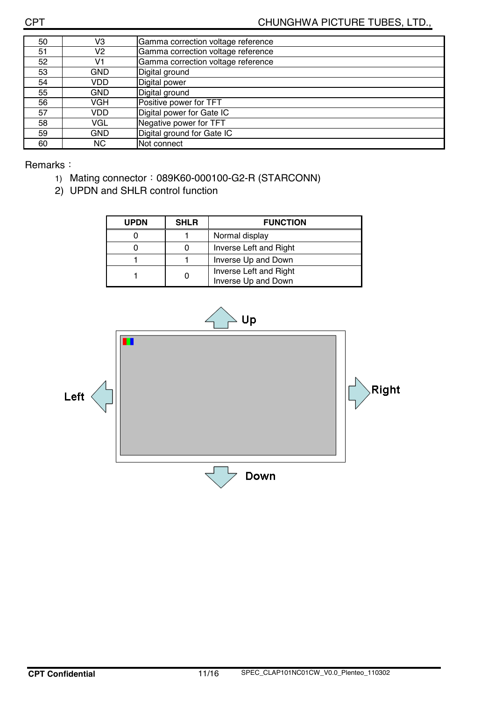| 50 | V3         | Gamma correction voltage reference |
|----|------------|------------------------------------|
| 51 | V2         | Gamma correction voltage reference |
| 52 | V1         | Gamma correction voltage reference |
| 53 | <b>GND</b> | Digital ground                     |
| 54 | VDD        | Digital power                      |
| 55 | <b>GND</b> | Digital ground                     |
| 56 | VGH        | Positive power for TFT             |
| 57 | VDD        | Digital power for Gate IC          |
| 58 | VGL        | Negative power for TFT             |
| 59 | <b>GND</b> | Digital ground for Gate IC         |
| 60 | NC.        | Not connect                        |

Remarks:

- 1) Mating connector: 089K60-000100-G2-R (STARCONN)
- 2) UPDN and SHLR control function

| <b>UPDN</b> | <b>SHLR</b> | <b>FUNCTION</b>                               |
|-------------|-------------|-----------------------------------------------|
|             |             | Normal display                                |
|             |             | Inverse Left and Right                        |
|             |             | Inverse Up and Down                           |
|             |             | Inverse Left and Right<br>Inverse Up and Down |

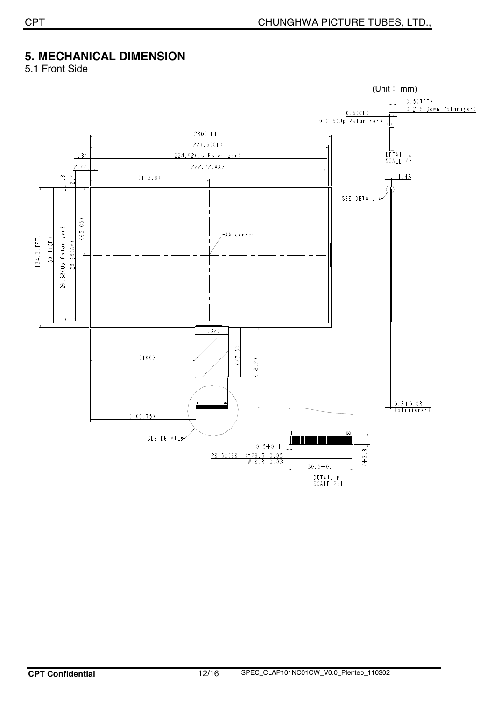# **5. MECHANICAL DIMENSION**

5.1 Front Side

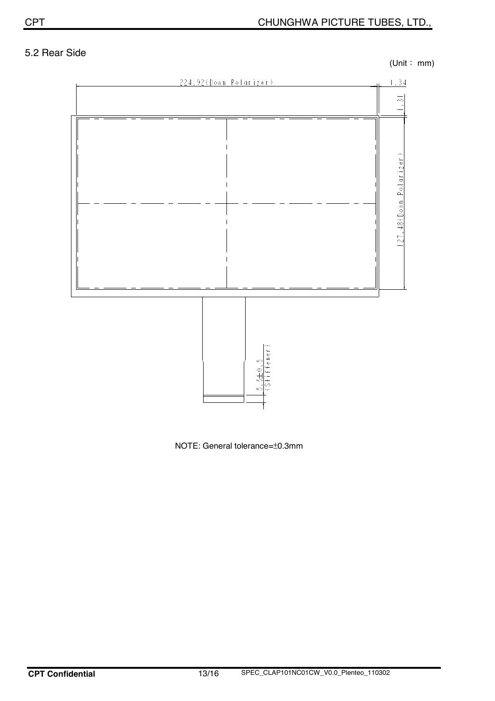### 5.2 Rear Side

 $(Unit : mm)$ 



NOTE: General tolerance=̈́0.3mm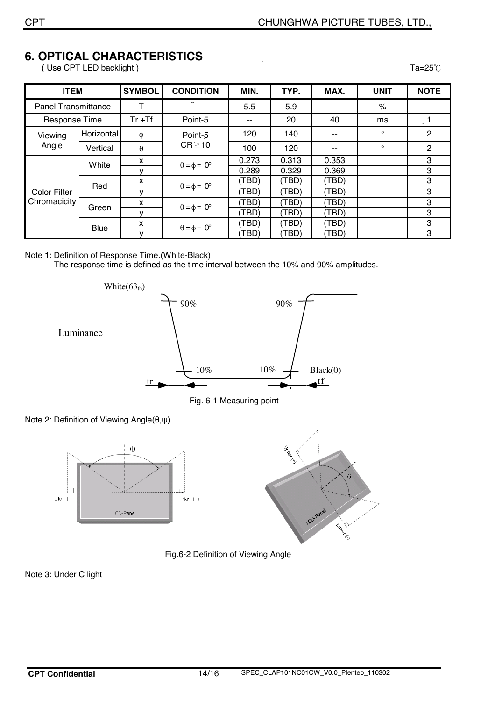# **6. OPTICAL CHARACTERISTICS**

(Use CPT LED backlight ) Ta=25℃

| <b>ITEM</b>                         |             | <b>SYMBOL</b> | <b>CONDITION</b>            | MIN.          | TYP.  | MAX.  | <b>UNIT</b>   | <b>NOTE</b>    |
|-------------------------------------|-------------|---------------|-----------------------------|---------------|-------|-------|---------------|----------------|
| <b>Panel Transmittance</b>          |             | Т             |                             | 5.5           | 5.9   | $- -$ | $\frac{1}{2}$ |                |
| Response Time                       |             | $Tr + Tf$     | Point-5                     | $\sim$ $\sim$ | 20    | 40    | ms            |                |
| Viewing                             | Horizontal  | φ             | Point-5<br>$CR \ge 10$      | 120           | 140   | --    | $\circ$       | $\overline{2}$ |
| Angle                               | Vertical    | $\theta$      |                             | 100           | 120   | --    | $\circ$       | $\overline{2}$ |
| <b>Color Filter</b><br>Chromacicity | White       | x             | $\theta = \phi = 0^{\circ}$ | 0.273         | 0.313 | 0.353 |               | 3              |
|                                     |             | v             |                             | 0.289         | 0.329 | 0.369 |               | 3              |
|                                     | Red         | X             | $\theta = \phi = 0^{\circ}$ | (TBD)         | (TBD) | (TBD) |               | 3              |
|                                     |             | ٧             |                             | (TBD)         | (TBD) | (TBD) |               | 3              |
|                                     | Green       | x             | $\theta = \phi = 0^{\circ}$ | (TBD)         | (TBD) | (TBD) |               | 3              |
|                                     |             | v             |                             | (TBD)         | (TBD) | (TBD) |               | 3              |
|                                     | <b>Blue</b> | X             | $\theta = \phi = 0^{\circ}$ | (TBD)         | (TBD) | (TBD) |               | 3              |
|                                     |             | v             |                             | (TBD)         | (TBD) | (TBD) |               | 3              |

#### Note 1: Definition of Response Time.(White-Black)

The response time is defined as the time interval between the 10% and 90% amplitudes.



Fig. 6-1 Measuring point







Fig.6-2 Definition of Viewing Angle

Note 3: Under C light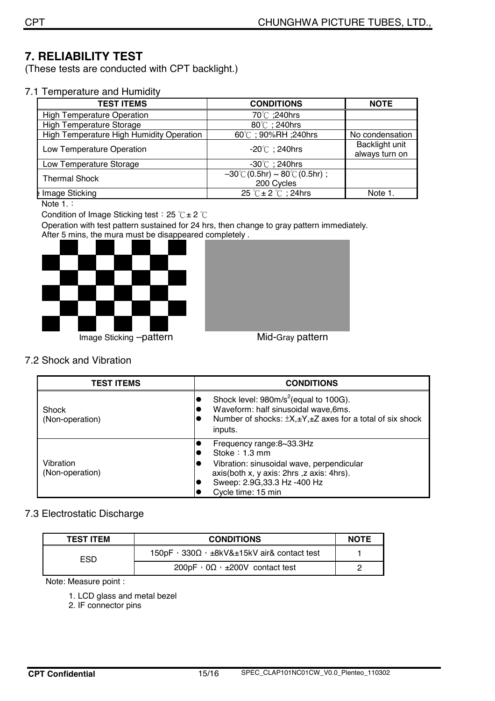### **7. RELIABILITY TEST**

(These tests are conducted with CPT backlight.)

7.1 Temperature and Humidity

| <b>TEST ITEMS</b>                        | <b>CONDITIONS</b>                                  | <b>NOTE</b>     |
|------------------------------------------|----------------------------------------------------|-----------------|
| <b>High Temperature Operation</b>        | 70°C ;240hrs                                       |                 |
| <b>High Temperature Storage</b>          | 80°C; 240hrs                                       |                 |
| High Temperature High Humidity Operation | 60℃; 90%RH; 240hrs                                 | No condensation |
| Low Temperature Operation                | $-20^{\circ}$ ; 240hrs                             | Backlight unit  |
|                                          |                                                    | always turn on  |
| Low Temperature Storage                  | $-30^{\circ}$ ; 240hrs                             |                 |
| <b>Thermal Shock</b>                     | $-30^{\circ}$ C (0.5hr) ~ 80 $^{\circ}$ C (0.5hr); |                 |
|                                          | 200 Cycles                                         |                 |
| Image Sticking                           | 25 $\degree$ C $\pm$ 2 $\degree$ C ; 24hrs         | Note 1.         |

Note 1.:

Condition of Image Sticking test: 25  $°C \pm 2$   $°C$ 

Operation with test pattern sustained for 24 hrs, then change to gray pattern immediately. After 5 mins, the mura must be disappeared completely .





#### 7.2 Shock and Vibration

| <b>TEST ITEMS</b>               | <b>CONDITIONS</b>                                                                                                                                                                                                                 |  |  |
|---------------------------------|-----------------------------------------------------------------------------------------------------------------------------------------------------------------------------------------------------------------------------------|--|--|
| <b>Shock</b><br>(Non-operation) | Shock level: 980m/s <sup>2</sup> (equal to 100G).<br>$\bullet$<br>Waveform: half sinusoidal wave, 6ms.<br>Number of shocks: $\pm X, \pm Y, \pm Z$ axes for a total of six shock<br>inputs.                                        |  |  |
| Vibration<br>(Non-operation)    | Frequency range:8~33.3Hz<br>$\bullet$<br>Stoke $: 1.3$ mm<br>O<br>Vibration: sinusoidal wave, perpendicular<br>O<br>axis(both x, y axis: 2hrs ,z axis: 4hrs).<br>Sweep: 2.9G, 33.3 Hz - 400 Hz<br>$\bullet$<br>Cycle time: 15 min |  |  |

#### 7.3 Electrostatic Discharge

| <b>TEST ITEM</b> | <b>CONDITIONS</b>                                         | <b>NOTE</b> |
|------------------|-----------------------------------------------------------|-------------|
| ESD              | 150pF, $330\Omega$ , $\pm 8kV&\pm 15kV$ air& contact test |             |
|                  | $200pF \cdot 0\Omega \cdot \pm 200V$ contact test         |             |

Note: Measure point :

1. LCD glass and metal bezel

2. IF connector pins